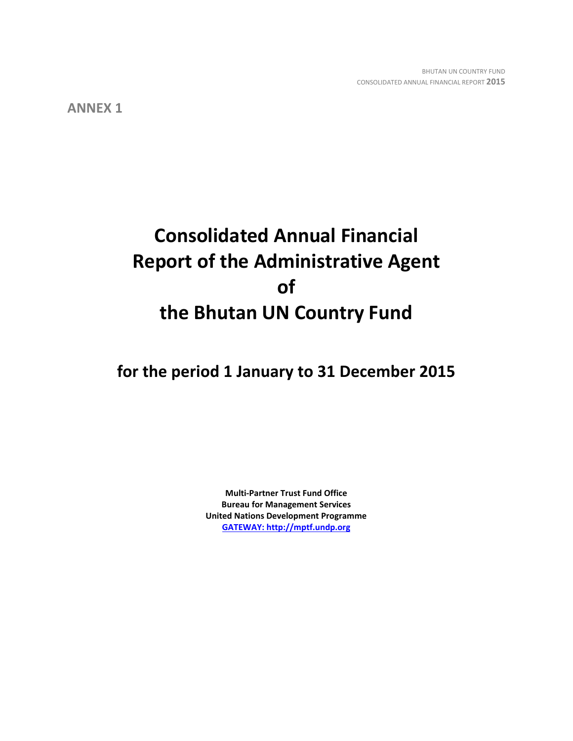**ANNEX 1**

# **Consolidated Annual Financial Report of the Administrative Agent of the Bhutan UN Country Fund**

**for the period 1 January to 31 December 2015**

**Multi-Partner Trust Fund Office Bureau for Management Services United Nations Development Programme [GATEWAY: http://mptf.undp.org](http://mptf.undp.org/)**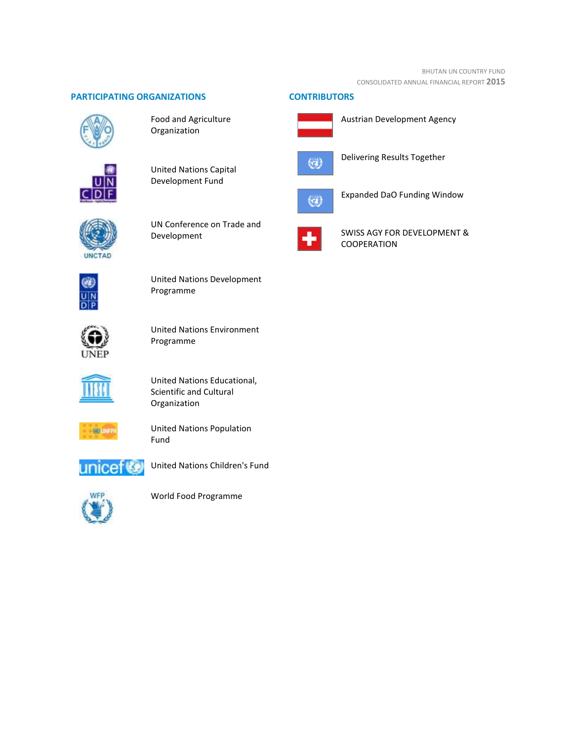## **PARTICIPATING ORGANIZATIONS CONTRIBUTORS**



Food and Agriculture Organization



United Nations Capital Development Fund



UN Conference on Trade and Development



United Nations Development Programme



United Nations Environment Programme



United Nations Educational, Scientific and Cultural Organization



United Nations Population Fund



United Nations Children's Fund



World Food Programme





Austrian Development Agency



Delivering Results Together



Expanded DaO Funding Window



SWISS AGY FOR DEVELOPMENT & COOPERATION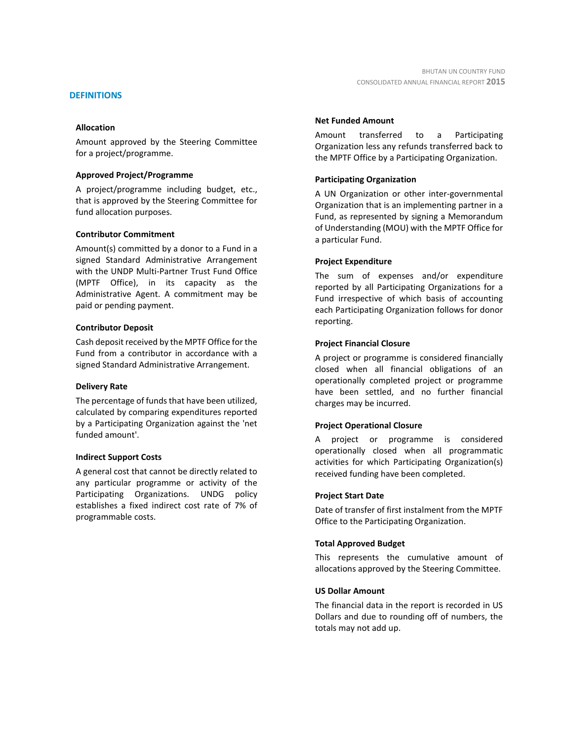## **DEFINITIONS**

## **Allocation**

Amount approved by the Steering Committee for a project/programme.

## **Approved Project/Programme**

A project/programme including budget, etc., that is approved by the Steering Committee for fund allocation purposes.

## **Contributor Commitment**

Amount(s) committed by a donor to a Fund in a signed Standard Administrative Arrangement with the UNDP Multi-Partner Trust Fund Office (MPTF Office), in its capacity as the Administrative Agent. A commitment may be paid or pending payment.

## **Contributor Deposit**

Cash deposit received by the MPTF Office for the Fund from a contributor in accordance with a signed Standard Administrative Arrangement.

## **Delivery Rate**

The percentage of funds that have been utilized, calculated by comparing expenditures reported by a Participating Organization against the 'net funded amount'.

## **Indirect Support Costs**

A general cost that cannot be directly related to any particular programme or activity of the Participating Organizations. UNDG policy establishes a fixed indirect cost rate of 7% of programmable costs.

## **Net Funded Amount**

Amount transferred to a Participating Organization less any refunds transferred back to the MPTF Office by a Participating Organization.

## **Participating Organization**

A UN Organization or other inter-governmental Organization that is an implementing partner in a Fund, as represented by signing a Memorandum of Understanding (MOU) with the MPTF Office for a particular Fund.

## **Project Expenditure**

The sum of expenses and/or expenditure reported by all Participating Organizations for a Fund irrespective of which basis of accounting each Participating Organization follows for donor reporting.

## **Project Financial Closure**

A project or programme is considered financially closed when all financial obligations of an operationally completed project or programme have been settled, and no further financial charges may be incurred.

## **Project Operational Closure**

A project or programme is considered operationally closed when all programmatic activities for which Participating Organization(s) received funding have been completed.

## **Project Start Date**

Date of transfer of first instalment from the MPTF Office to the Participating Organization.

## **Total Approved Budget**

This represents the cumulative amount of allocations approved by the Steering Committee.

## **US Dollar Amount**

The financial data in the report is recorded in US Dollars and due to rounding off of numbers, the totals may not add up.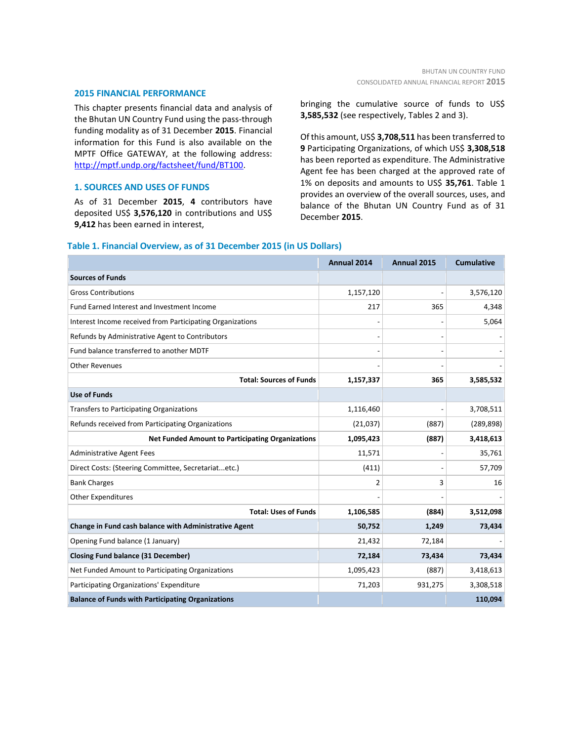#### **2015 FINANCIAL PERFORMANCE**

This chapter presents financial data and analysis of the Bhutan UN Country Fund using the pass-through funding modality as of 31 December **2015**. Financial information for this Fund is also available on the MPTF Office GATEWAY, at the following address: [http://mptf.undp.org/factsheet/fund/BT100.](http://mptf.undp.org/factsheet/fund/BT100)

## **1. SOURCES AND USES OF FUNDS**

As of 31 December **2015**, **4** contributors have deposited US\$ **3,576,120** in contributions and US\$ **9,412** has been earned in interest,

bringing the cumulative source of funds to US\$ **3,585,532** (see respectively, Tables 2 and 3).

Of this amount, US\$ **3,708,511** has been transferred to **9** Participating Organizations, of which US\$ **3,308,518** has been reported as expenditure. The Administrative Agent fee has been charged at the approved rate of 1% on deposits and amounts to US\$ **35,761**. Table 1 provides an overview of the overall sources, uses, and balance of the Bhutan UN Country Fund as of 31 December **2015**.

|                                                           | Annual 2014 | Annual 2015 | <b>Cumulative</b> |
|-----------------------------------------------------------|-------------|-------------|-------------------|
| <b>Sources of Funds</b>                                   |             |             |                   |
| <b>Gross Contributions</b>                                | 1,157,120   |             | 3,576,120         |
| <b>Fund Earned Interest and Investment Income</b>         | 217         | 365         | 4,348             |
| Interest Income received from Participating Organizations |             |             | 5,064             |
| Refunds by Administrative Agent to Contributors           |             |             |                   |
| Fund balance transferred to another MDTF                  |             |             |                   |
| <b>Other Revenues</b>                                     |             |             |                   |
| <b>Total: Sources of Funds</b>                            | 1,157,337   | 365         | 3,585,532         |
| <b>Use of Funds</b>                                       |             |             |                   |
| <b>Transfers to Participating Organizations</b>           | 1,116,460   |             | 3,708,511         |
| Refunds received from Participating Organizations         | (21,037)    | (887)       | (289, 898)        |
| <b>Net Funded Amount to Participating Organizations</b>   | 1,095,423   | (887)       | 3,418,613         |
| <b>Administrative Agent Fees</b>                          | 11,571      |             | 35,761            |
| Direct Costs: (Steering Committee, Secretariatetc.)       | (411)       |             | 57,709            |
| <b>Bank Charges</b>                                       | 2           | 3           | 16                |
| <b>Other Expenditures</b>                                 |             |             |                   |
| <b>Total: Uses of Funds</b>                               | 1,106,585   | (884)       | 3,512,098         |
| Change in Fund cash balance with Administrative Agent     | 50,752      | 1,249       | 73,434            |
| Opening Fund balance (1 January)                          | 21,432      | 72,184      |                   |
| <b>Closing Fund balance (31 December)</b>                 | 72,184      | 73,434      | 73,434            |
| Net Funded Amount to Participating Organizations          | 1,095,423   | (887)       | 3,418,613         |
| Participating Organizations' Expenditure                  | 71,203      | 931,275     | 3,308,518         |
| <b>Balance of Funds with Participating Organizations</b>  |             |             | 110,094           |

#### **Table 1. Financial Overview, as of 31 December 2015 (in US Dollars)**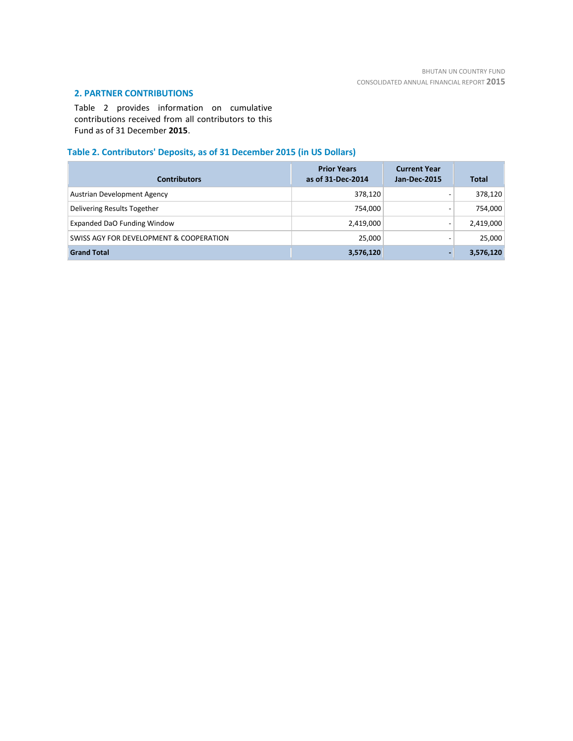## **2. PARTNER CONTRIBUTIONS**

Table 2 provides information on cumulative contributions received from all contributors to this Fund as of 31 December **2015**.

## **Table 2. Contributors' Deposits, as of 31 December 2015 (in US Dollars)**

| <b>Contributors</b>                     | <b>Prior Years</b><br>as of 31-Dec-2014 | <b>Current Year</b><br>Jan-Dec-2015 | <b>Total</b> |
|-----------------------------------------|-----------------------------------------|-------------------------------------|--------------|
| Austrian Development Agency             | 378,120                                 | -                                   | 378,120      |
| Delivering Results Together             | 754,000                                 |                                     | 754,000      |
| Expanded DaO Funding Window             | 2,419,000                               | -                                   | 2,419,000    |
| SWISS AGY FOR DEVELOPMENT & COOPERATION | 25,000                                  |                                     | 25,000       |
| <b>Grand Total</b>                      | 3,576,120                               |                                     | 3,576,120    |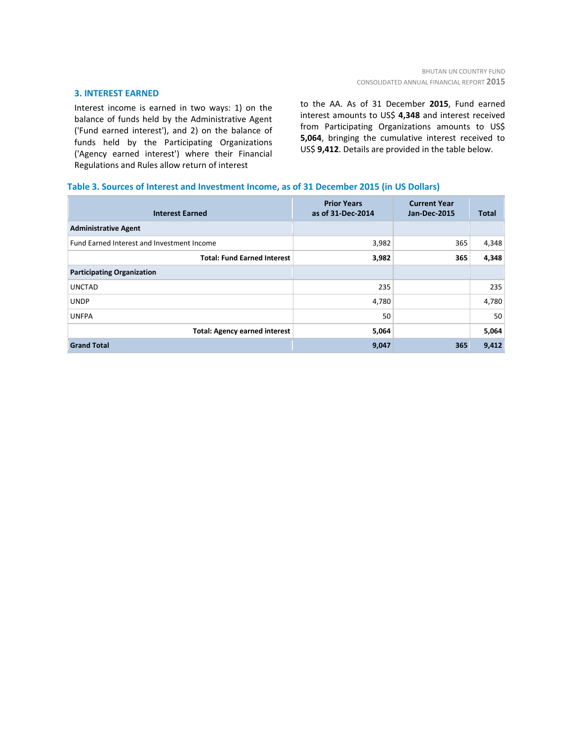## **3. INTEREST EARNED**

Interest income is earned in two ways: 1) on the balance of funds held by the Administrative Agent ('Fund earned interest'), and 2) on the balance of funds held by the Participating Organizations ('Agency earned interest') where their Financial Regulations and Rules allow return of interest

to the AA. As of 31 December **2015**, Fund earned interest amounts to US\$ **4,348** and interest received from Participating Organizations amounts to US\$ **5,064**, bringing the cumulative interest received to US\$ **9,412**. Details are provided in the table below.

## **Table 3. Sources of Interest and Investment Income, as of 31 December 2015 (in US Dollars)**

| <b>Interest Earned</b>                     | <b>Prior Years</b><br>as of 31-Dec-2014 | <b>Current Year</b><br><b>Jan-Dec-2015</b> | <b>Total</b> |
|--------------------------------------------|-----------------------------------------|--------------------------------------------|--------------|
| <b>Administrative Agent</b>                |                                         |                                            |              |
| Fund Earned Interest and Investment Income | 3,982                                   | 365                                        | 4,348        |
| <b>Total: Fund Earned Interest</b>         | 3,982                                   | 365                                        | 4,348        |
| <b>Participating Organization</b>          |                                         |                                            |              |
| <b>UNCTAD</b>                              | 235                                     |                                            | 235          |
| <b>UNDP</b>                                | 4,780                                   |                                            | 4,780        |
| <b>UNFPA</b>                               | 50                                      |                                            | 50           |
| <b>Total: Agency earned interest</b>       | 5,064                                   |                                            | 5,064        |
| <b>Grand Total</b>                         | 9,047                                   | 365                                        | 9,412        |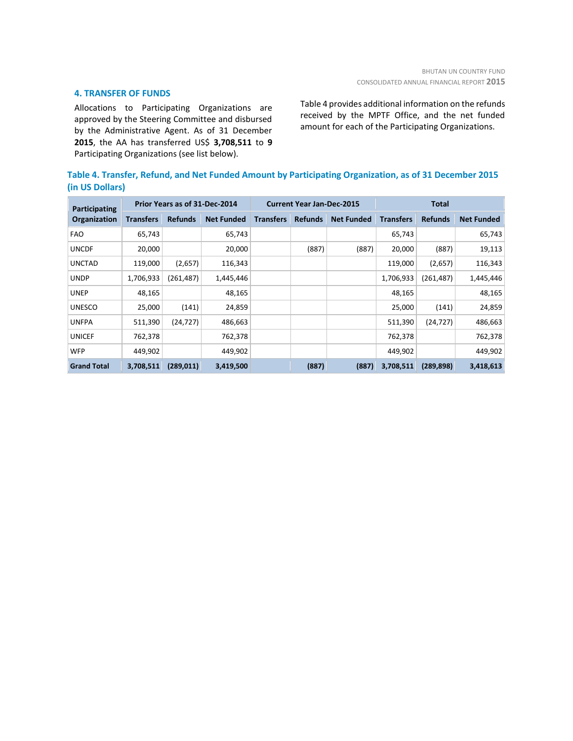## **4. TRANSFER OF FUNDS**

Allocations to Participating Organizations are approved by the Steering Committee and disbursed by the Administrative Agent. As of 31 December **2015**, the AA has transferred US\$ **3,708,511** to **9** Participating Organizations (see list below).

Table 4 provides additional information on the refunds received by the MPTF Office, and the net funded amount for each of the Participating Organizations.

| Table 4. Transfer, Refund, and Net Funded Amount by Participating Organization, as of 31 December 2015 |
|--------------------------------------------------------------------------------------------------------|
| (in US Dollars)                                                                                        |

| <b>Participating</b> |                  | Prior Years as of 31-Dec-2014 |                   | <b>Current Year Jan-Dec-2015</b> |                |                   | <b>Total</b>     |                |                   |  |
|----------------------|------------------|-------------------------------|-------------------|----------------------------------|----------------|-------------------|------------------|----------------|-------------------|--|
| Organization         | <b>Transfers</b> | <b>Refunds</b>                | <b>Net Funded</b> | <b>Transfers</b>                 | <b>Refunds</b> | <b>Net Funded</b> | <b>Transfers</b> | <b>Refunds</b> | <b>Net Funded</b> |  |
| <b>FAO</b>           | 65,743           |                               | 65,743            |                                  |                |                   | 65,743           |                | 65,743            |  |
| <b>UNCDF</b>         | 20,000           |                               | 20,000            |                                  | (887)          | (887)             | 20,000           | (887)          | 19,113            |  |
| <b>UNCTAD</b>        | 119,000          | (2,657)                       | 116,343           |                                  |                |                   | 119,000          | (2,657)        | 116,343           |  |
| <b>UNDP</b>          | 1,706,933        | (261, 487)                    | 1,445,446         |                                  |                |                   | 1,706,933        | (261, 487)     | 1,445,446         |  |
| <b>UNEP</b>          | 48,165           |                               | 48,165            |                                  |                |                   | 48,165           |                | 48,165            |  |
| <b>UNESCO</b>        | 25,000           | (141)                         | 24,859            |                                  |                |                   | 25,000           | (141)          | 24,859            |  |
| <b>UNFPA</b>         | 511,390          | (24, 727)                     | 486,663           |                                  |                |                   | 511,390          | (24, 727)      | 486,663           |  |
| <b>UNICEF</b>        | 762,378          |                               | 762,378           |                                  |                |                   | 762,378          |                | 762,378           |  |
| <b>WFP</b>           | 449,902          |                               | 449,902           |                                  |                |                   | 449,902          |                | 449,902           |  |
| <b>Grand Total</b>   | 3,708,511        | (289, 011)                    | 3,419,500         |                                  | (887)          | (887)             | 3,708,511        | (289, 898)     | 3,418,613         |  |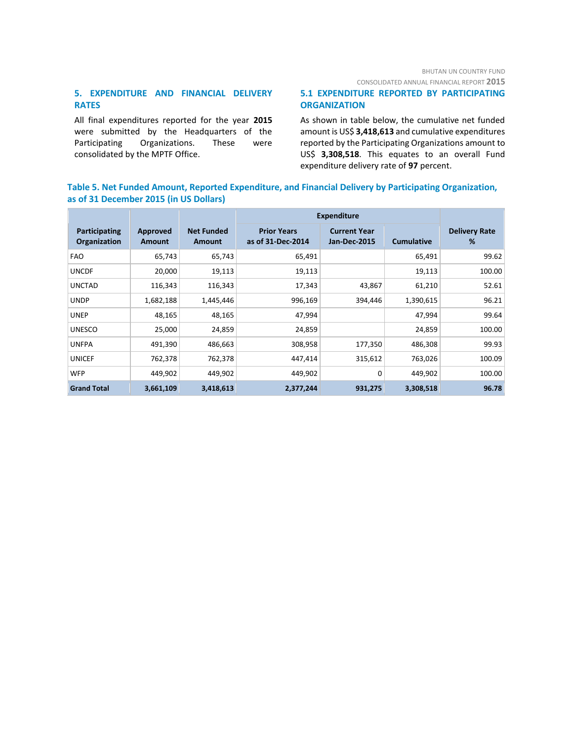## CONSOLIDATED ANNUAL FINANCIAL REPORT **2015**

## **5. EXPENDITURE AND FINANCIAL DELIVERY RATES**

All final expenditures reported for the year **2015** were submitted by the Headquarters of the Participating Organizations. These were consolidated by the MPTF Office.

## **5.1 EXPENDITURE REPORTED BY PARTICIPATING ORGANIZATION**

As shown in table below, the cumulative net funded amount is US\$ **3,418,613** and cumulative expenditures reported by the Participating Organizations amount to US\$ **3,308,518**. This equates to an overall Fund expenditure delivery rate of **97** percent.

## **Table 5. Net Funded Amount, Reported Expenditure, and Financial Delivery by Participating Organization, as of 31 December 2015 (in US Dollars)**

|                               |                    |                             | <b>Expenditure</b>                      |                                            |                   |                           |
|-------------------------------|--------------------|-----------------------------|-----------------------------------------|--------------------------------------------|-------------------|---------------------------|
| Participating<br>Organization | Approved<br>Amount | <b>Net Funded</b><br>Amount | <b>Prior Years</b><br>as of 31-Dec-2014 | <b>Current Year</b><br><b>Jan-Dec-2015</b> | <b>Cumulative</b> | <b>Delivery Rate</b><br>% |
| <b>FAO</b>                    | 65,743             | 65,743                      | 65,491                                  |                                            | 65,491            | 99.62                     |
| <b>UNCDF</b>                  | 20,000             | 19,113                      | 19,113                                  |                                            | 19,113            | 100.00                    |
| <b>UNCTAD</b>                 | 116,343            | 116,343                     | 17,343                                  | 43,867                                     | 61,210            | 52.61                     |
| <b>UNDP</b>                   | 1,682,188          | 1,445,446                   | 996,169                                 | 394,446                                    | 1,390,615         | 96.21                     |
| <b>UNEP</b>                   | 48,165             | 48,165                      | 47,994                                  |                                            | 47,994            | 99.64                     |
| <b>UNESCO</b>                 | 25,000             | 24,859                      | 24,859                                  |                                            | 24,859            | 100.00                    |
| <b>UNFPA</b>                  | 491,390            | 486,663                     | 308,958                                 | 177,350                                    | 486,308           | 99.93                     |
| <b>UNICEF</b>                 | 762,378            | 762,378                     | 447,414                                 | 315,612                                    | 763,026           | 100.09                    |
| <b>WFP</b>                    | 449,902            | 449,902                     | 449,902                                 | 0                                          | 449,902           | 100.00                    |
| <b>Grand Total</b>            | 3,661,109          | 3,418,613                   | 2,377,244                               | 931,275                                    | 3,308,518         | 96.78                     |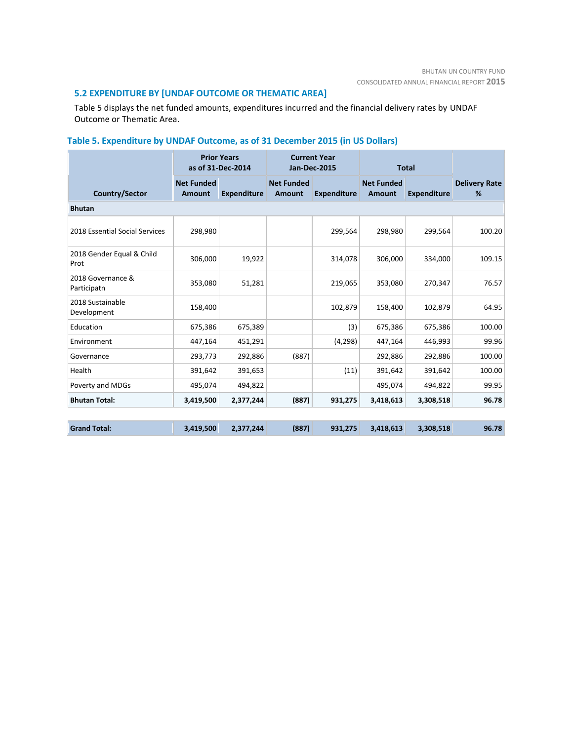## **5.2 EXPENDITURE BY [UNDAF OUTCOME OR THEMATIC AREA]**

Table 5 displays the net funded amounts, expenditures incurred and the financial delivery rates by UNDAF Outcome or Thematic Area.

# **Table 5. Expenditure by UNDAF Outcome, as of 31 December 2015 (in US Dollars)**

|                                   |                             | <b>Prior Years</b><br>as of 31-Dec-2014 | <b>Current Year</b><br><b>Jan-Dec-2015</b> |                    | <b>Total</b>                |                    |                           |  |  |
|-----------------------------------|-----------------------------|-----------------------------------------|--------------------------------------------|--------------------|-----------------------------|--------------------|---------------------------|--|--|
| Country/Sector                    | <b>Net Funded</b><br>Amount | <b>Expenditure</b>                      | <b>Net Funded</b><br>Amount                | <b>Expenditure</b> | <b>Net Funded</b><br>Amount | <b>Expenditure</b> | <b>Delivery Rate</b><br>% |  |  |
| <b>Bhutan</b>                     |                             |                                         |                                            |                    |                             |                    |                           |  |  |
| 2018 Essential Social Services    | 298,980                     |                                         |                                            | 299,564            | 298,980                     | 299,564            | 100.20                    |  |  |
| 2018 Gender Equal & Child<br>Prot | 306,000                     | 19,922                                  |                                            | 314,078            | 306,000                     | 334,000            | 109.15                    |  |  |
| 2018 Governance &<br>Participatn  | 353,080                     | 51,281                                  |                                            | 219,065            | 353,080                     | 270,347            | 76.57                     |  |  |
| 2018 Sustainable<br>Development   | 158,400                     |                                         |                                            | 102,879            | 158,400                     | 102,879            | 64.95                     |  |  |
| Education                         | 675,386                     | 675,389                                 |                                            | (3)                | 675,386                     | 675,386            | 100.00                    |  |  |
| Environment                       | 447,164                     | 451,291                                 |                                            | (4, 298)           | 447,164                     | 446,993            | 99.96                     |  |  |
| Governance                        | 293,773                     | 292,886                                 | (887)                                      |                    | 292,886                     | 292,886            | 100.00                    |  |  |
| Health                            | 391,642                     | 391,653                                 |                                            | (11)               | 391,642                     | 391,642            | 100.00                    |  |  |
| Poverty and MDGs                  | 495,074                     | 494,822                                 |                                            |                    | 495,074                     | 494,822            | 99.95                     |  |  |
| <b>Bhutan Total:</b>              | 3,419,500                   | 2,377,244                               | (887)                                      | 931,275            | 3,418,613                   | 3,308,518          | 96.78                     |  |  |
|                                   |                             |                                         |                                            |                    |                             |                    |                           |  |  |
| <b>Grand Total:</b>               | 3,419,500                   | 2,377,244                               | (887)                                      | 931,275            | 3,418,613                   | 3,308,518          | 96.78                     |  |  |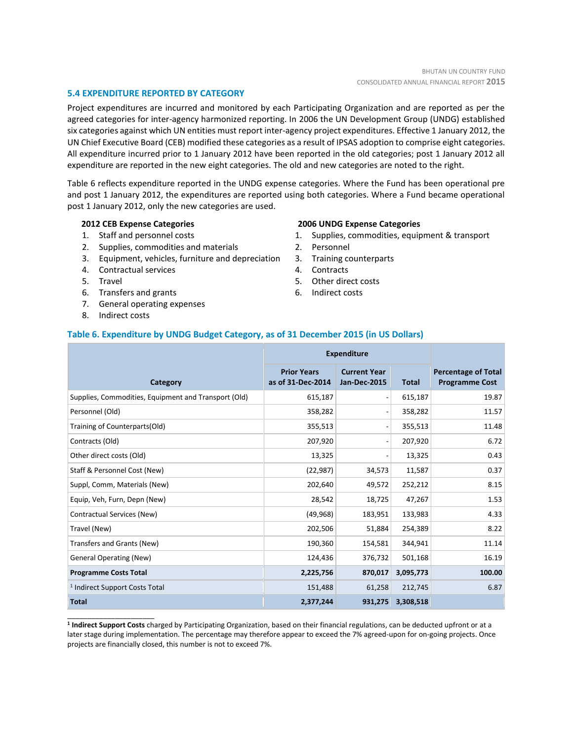## **5.4 EXPENDITURE REPORTED BY CATEGORY**

Project expenditures are incurred and monitored by each Participating Organization and are reported as per the agreed categories for inter-agency harmonized reporting. In 2006 the UN Development Group (UNDG) established six categories against which UN entities must report inter-agency project expenditures. Effective 1 January 2012, the UN Chief Executive Board (CEB) modified these categories as a result of IPSAS adoption to comprise eight categories. All expenditure incurred prior to 1 January 2012 have been reported in the old categories; post 1 January 2012 all expenditure are reported in the new eight categories. The old and new categories are noted to the right.

Table 6 reflects expenditure reported in the UNDG expense categories. Where the Fund has been operational pre and post 1 January 2012, the expenditures are reported using both categories. Where a Fund became operational post 1 January 2012, only the new categories are used.

## **2012 CEB Expense Categories**

- 1. Staff and personnel costs
- 2. Supplies, commodities and materials
- 3. Equipment, vehicles, furniture and depreciation
- 4. Contractual services
- 5. Travel
- 6. Transfers and grants
- 7. General operating expenses
- 8. Indirect costs

\_\_\_\_\_\_\_\_\_\_\_\_\_\_\_\_\_\_\_\_\_\_

#### **2006 UNDG Expense Categories**

- 1. Supplies, commodities, equipment & transport
- 2. Personnel
- 3. Training counterparts
- 4. Contracts
- 5. Other direct costs
- 6. Indirect costs

## **Table 6. Expenditure by UNDG Budget Category, as of 31 December 2015 (in US Dollars)**

|                                                      | <b>Expenditure</b>                      |                                            |              |                                                     |
|------------------------------------------------------|-----------------------------------------|--------------------------------------------|--------------|-----------------------------------------------------|
| Category                                             | <b>Prior Years</b><br>as of 31-Dec-2014 | <b>Current Year</b><br><b>Jan-Dec-2015</b> | <b>Total</b> | <b>Percentage of Total</b><br><b>Programme Cost</b> |
| Supplies, Commodities, Equipment and Transport (Old) | 615,187                                 | $\overline{\phantom{a}}$                   | 615,187      | 19.87                                               |
| Personnel (Old)                                      | 358,282                                 | $\overline{a}$                             | 358,282      | 11.57                                               |
| Training of Counterparts(Old)                        | 355,513                                 | $\qquad \qquad \blacksquare$               | 355,513      | 11.48                                               |
| Contracts (Old)                                      | 207,920                                 | $\overline{\phantom{a}}$                   | 207,920      | 6.72                                                |
| Other direct costs (Old)                             | 13,325                                  | -                                          | 13,325       | 0.43                                                |
| Staff & Personnel Cost (New)                         | (22, 987)                               | 34,573                                     | 11,587       | 0.37                                                |
| Suppl, Comm, Materials (New)                         | 202,640                                 | 49,572                                     | 252,212      | 8.15                                                |
| Equip, Veh, Furn, Depn (New)                         | 28,542                                  | 18,725                                     | 47,267       | 1.53                                                |
| Contractual Services (New)                           | (49, 968)                               | 183,951                                    | 133,983      | 4.33                                                |
| Travel (New)                                         | 202,506                                 | 51,884                                     | 254,389      | 8.22                                                |
| Transfers and Grants (New)                           | 190,360                                 | 154,581                                    | 344,941      | 11.14                                               |
| <b>General Operating (New)</b>                       | 124,436                                 | 376,732                                    | 501,168      | 16.19                                               |
| <b>Programme Costs Total</b>                         | 2,225,756                               | 870,017                                    | 3,095,773    | 100.00                                              |
| <sup>1</sup> Indirect Support Costs Total            | 151,488                                 | 61,258                                     | 212,745      | 6.87                                                |
| <b>Total</b>                                         | 2,377,244                               | 931,275                                    | 3,308,518    |                                                     |

**1 Indirect Support Costs** charged by Participating Organization, based on their financial regulations, can be deducted upfront or at a later stage during implementation. The percentage may therefore appear to exceed the 7% agreed-upon for on-going projects. Once projects are financially closed, this number is not to exceed 7%.